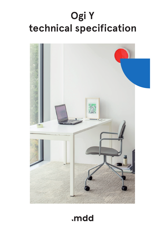# **Ogi Y technical specification**



## .mdd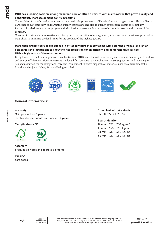#### **MDD has a leading position among manufacturers of office furniture with many awards that prove quality and continuously increase demand for it`s products.**

The realities of today`s market require constant quality improvement at all levels of modern organization. This applies in particular to customer service, marketing, quality of products and also to quality of processes within the company. Partnership relations among employees and with business partners form a base of economic growth and success of the company.

Constant investments in innovative machinery park, optimization of managment systems and an expansion of production halls allow to minimize the lead times for the product of the highest quality.

#### **More than twenty years of experience in office furniture industry come with reference from a long list of companies and institutions to show their appreciation for an efficient and comprehensive service. MDD is higly aware of the environment.**

Being located in the forest region with lake by it1s side, MDD takes the nature seriously and invests constantly in a modern and energy-efficient solutions to preserve the local life. Company puts emphasis on waste segregation and recycling. MDD has been awarded for the exceptional care and involvement in waste disposal. All materials used are environmentally friendly and enjoy a high 95 % rate of being recycled.



#### **General informations:**

### **Warranty :**

MDD products **– 5 years**. Electrical components and fabric **– 2 years**.

**Certyficate - MFC:**



### **Assembly:**

product delivered in separate elements

#### **Packing :** cardboard

**Compliant with standards:** PN-EN 527-2:2017-02

#### **Boards density:**

12 mm - 690 - 750 kg/m3 18 mm - 650 - 690 kg/m3 28 mm - 610 - 630 kg/m3 36 mm - 610 - 630 kg/m3

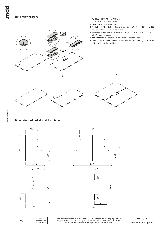bpur.

#### **Ogi desk worktops**



**1. Worktop -** MFC 28 mm, ABS edge

#### **Dimensions of radial worktops (mm)**





| Date of   | The data contained in this document is valid in the day of its preparation.    |
|-----------|--------------------------------------------------------------------------------|
| eparation | Change of the product, as long as it does not affect the basic features of it, |
| 7.09.2020 | does not require consistent updates of the document.                           |

page 3/10 **technical description**

**Ogi Y**

preparation 07.09.2020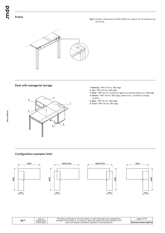**Ogi Y:** powder coated steel, profile 40x40 mm, spacer 10 mm between top and frame



#### **Desk with managerial storage**



- **1. Worktop** MFC 28 mm, ABS edge
- **2. Top** MFC 28 mm, ABS edge
- **3. Shelf** MFC 18 mm, protection against accidental falling-out, ABS edge **4. Drawer -** MFC 18 mm, ABS edge, patent lock - possible to change
- location **5. Base -** MFC 18 mm, ABS edge
- **6. Front** MFC 18 mm, ABS edge

#### **Configuration examples (mm)**









| Ogi Y | Date of<br>preparation | The data contained in this document is valid in the day of its preparation.<br>Change of the product, as long as it does not affect the basic features of it, | page $4/10$                   |
|-------|------------------------|---------------------------------------------------------------------------------------------------------------------------------------------------------------|-------------------------------|
|       | 07.09.2020             | does not require consistent updates of the document.                                                                                                          | <b>Itechnical description</b> |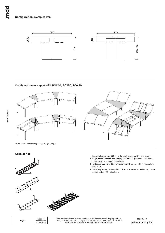#### **Configuration examples (mm)**





#### **Configuration examples with BOX40, BOX50, BOX60**



ATTENTION – only for Ogi Q, Ogi U, Ogi Y, Ogi M

#### **Accessories**







- **1. Horizontal cable tray S69** powder coated, colour: 09 aluminum
- **2. Single desk horizontal cable tray (SG12, SG16)** powder coated metal, colour: M009 - aluminum semi-matt
- **3. Horizontal cable tray E64** powder coated, colour: M009 aluminium semi-matt
- **4. Cable tray for bench desks (SG220, SG260) s**teel wire Ø4 mm, powder coated, colour: 09 - aluminum

| Ogi Y | Date of                   | The data contained in this document is valid in the day of its preparation.<br>Change of the product, as long as it does not affect the basic features of it, | page 5/10              |
|-------|---------------------------|---------------------------------------------------------------------------------------------------------------------------------------------------------------|------------------------|
|       | preparation<br>07.09.2020 | does not require consistent updates of the document.                                                                                                          | ltechnical description |
|       |                           |                                                                                                                                                               |                        |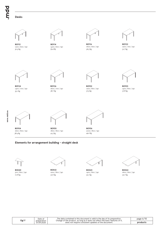bpun.

#### **Desks**



1200 / 600 / 740 **BOY12** 30.3 kg



**BOY14** -<br>1400 / 600 / 740<br>33.4 kg



**BOY16** 1600 / 600 / 740 33.4 kg 31.7 kg 36.5 kg 31.7 kg 31.7 kg 31.7 kg 31.7 kg 31.7 kg 31.7 kg 31.7 kg 31.7 kg 31.7 kg 31.7 kg 31.7 kg 31.7 kg 31.7 kg 31.7 kg 31.7 kg 31.7 kg 31.7 kg 31.7 kg 31.7 kg 31.7 kg 31.7 kg 31.7 kg 31.7 kg 31.7 kg 31.7 k



**BOY22** 1200 / 700 / 740



1400 / 700 / 740 **BOY24** 35.1 kg



**BOY26** 1600 / 700 / 740



**BOY02** 1200 / 800 / 740 38.7 kg 37.3 kg 37.3 kg 37.3 kg 37.8 kg 37.8 kg 37.8 kg 37.8 kg 37.8 kg 37.8 kg 37.8 kg 37.8 kg 37.8 kg 37.8 kg



**BOY03** 1400 / 800 / 740

**BOY04** 1600 / 800 / 740 38.4 kg



**BOY05** 1800 / 800 / 740 41.5 kg



**BOY06** 2000 / 800 / 740 49.2 kg

#### **Elements for arrangement building - straight desk**



**BOX40** 500 / 800 / 740



**BOX42** 1200 / 800 / 740 10.8 kg 32.7 kg 32.7 kg 32.7 kg 32.8 kg 32.7 kg 32.8 kg 32.7 kg 32.7 kg 32.7 kg 32.7 kg 32.7 kg 32.7 kg 32.7 kg



**BOX43** 1400 / 800 / 740



**BOX44** 1600 / 800 / 740

Date of preparation 07.09.2020

The data contained in this document is valid in the day of its preparation.<br>Change of the product, as long as it does not affect the basic features of it,<br>does not require consistent updates of the document.

page 6/10 **products**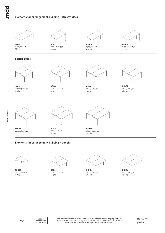#### **Elements for arrangement building - straight desk**



**BOX45** 1600 / 800 / 740 **BOX32**

1200 / 700 / 740 35.8 kg 26.3 kg 29.7 kg 33.3 kg **BOX34** 1400 / 700 / 740<br>29.7 kg



**BOX36** 1600 / 700 / 740<br>33.3 kg

#### **Bench desks**



**BOY42** 1200 / 1410 / 740



**BOY44** 1400 / 1410 / 740



**BOY46** 1600 / 1410 / 740 57.2 kg 68.3 kg 68.3 kg 671.2 kg 71.2 kg 71.2 kg 68.3 kg 68.3 kg 68.3 kg 68.3 kg 68.3 kg 68.3 kg 68.3 kg 68.3 kg 68.3 kg 68.3 kg 68.3 kg 68.3 kg 68.3 kg 68.3 kg 68.3 kg 68.3 kg 68.3 kg 68.3 kg 68.3 kg 68.3 kg 68.3 kg 68.3



**BOY32** 1200 / 1610 / 740



**BOY33** 1400 / 1610 / 740 69.3 kg 76.7 kg 70.5 kg 70.5 kg 76.7 kg 76.7 kg 76.7 kg 76.7 kg 76.7 kg 76.7 kg 76.7 kg 76.7 kg 76.7 kg 76.7 kg



**BOY34** 1600 / 1610 / 740



**BOY35** 1800 / 1610 / 740

#### **Elements for arrangement building - bench**



**BOX50** 1000 / 1410 / 740



**BOX52** 1200 / 1410 / 740 16.5 kg 63.4 kg 49.4 kg 56.2 kg 56.2 kg 63.4 kg 63.4 kg 63.4 kg 63.4 kg 63.4 kg 63.4 kg 63.4 kg 63.4 kg 63.4 kg 63.4 kg 63.4 kg 63.4 kg 63.4 kg 63.4 kg 63.4 kg 63.4 kg 63.4 kg 63.4 kg 63.4 kg 63.4 kg 63.4 kg 63.4 kg 63.4 k



**BOX54** 1400 / 1410 / 740



**BOX56** 1600 / 1410 / 740

| Ogi Y | Date of<br>preparation | The data contained in this document is valid in the day of its preparation.<br>Change of the product, as long as it does not affect the basic features of it, | page 7/10 |
|-------|------------------------|---------------------------------------------------------------------------------------------------------------------------------------------------------------|-----------|
|       | 07.09.2020             | does not require consistent updates of the document.                                                                                                          | products  |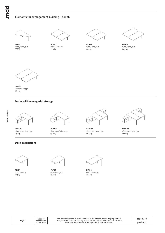#### **Elements for arrangement building - bench**



**BOX60** 1000 / 1610 / 740<br>17.5 kg



**BOX62**



1200 / 1610 / 740 17.5 kg 60.1 kg 61.1 kg 62.3 kg **BOX64** 1400 / 1610 / 740<br>61.1 kg



**BOX66** 1600 / 1610 / 740<br>62.3 kg



**BOX68** 1800 / 1610 / 740 68.5 kg

#### **Desks with managerial storage**





94.1 kg 188.1 kg 188.1 kg 188.2 kg 181.9 kg 181.9 kg 181.9 kg 181.9 kg 181.9 kg 181.9 kg 182.1 kg 18 **BOYL20** 1600-1702 / 1600 / 740



**BOYL21** 1800-1902 / 1600 / 740



**BOYL40** 1600-1702 / 3210 / 740



**BOYL41** 1800-1902 / 3210 / 740

#### **Desk extenstions**



**PLY01** 600 / 800 / 740 18.7 kg



**PLY02** 600 / 1000 / 740



**PLY03** 600 / 1200 / 740 22.4 kg

| Ogi Y | Date of<br>preparation |                                                      | The data contained in this document is valid in the day of its preparation.<br>Change of the product, as long as it does not affect the basic features of it. | page $8/10$ |
|-------|------------------------|------------------------------------------------------|---------------------------------------------------------------------------------------------------------------------------------------------------------------|-------------|
|       | 07.09.2020             | does not require consistent updates of the document. | product:                                                                                                                                                      |             |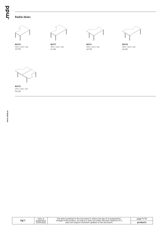#### **Radial desks**



**BOY10** 1600 / 1200 / 740



**BOY17**



1800 / 1200 / 740 45.6 kg 41.5 kg 45.6 kg 43.5 kg **BOY11** 1600 / 1200 / 740<br>45.6 kg



**BOY18** 1800 / 1200 / 740



**BOY15** 1600 / 2410 / 740 84.9 kg

| Ogi Y | Date of                   | The data contained in this document is valid in the dav of its preparation.<br>Change of the product, as long as it does not affect the basic features of it, | page 9/10 |
|-------|---------------------------|---------------------------------------------------------------------------------------------------------------------------------------------------------------|-----------|
|       | preparation<br>07.09.2020 | does not require consistent updates of the document.                                                                                                          | products  |